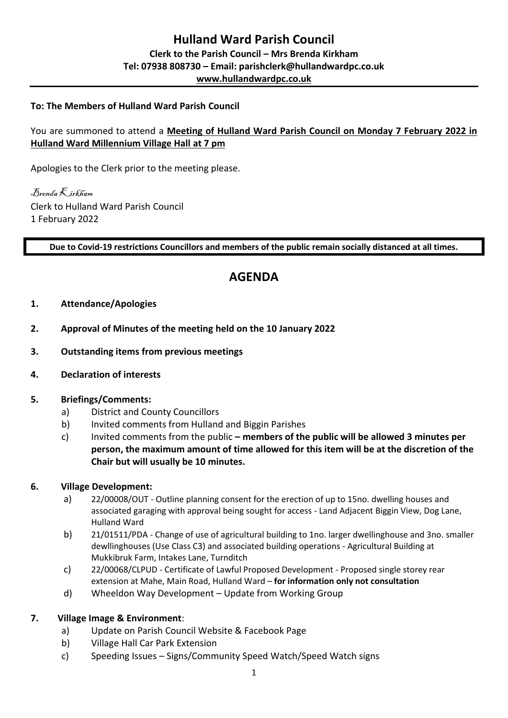## **To: The Members of Hulland Ward Parish Council**

## You are summoned to attend a **Meeting of Hulland Ward Parish Council on Monday 7 February 2022 in Hulland Ward Millennium Village Hall at 7 pm**

Apologies to the Clerk prior to the meeting please.

Brenda Kirkham Clerk to Hulland Ward Parish Council 1 February 2022

**Due to Covid-19 restrictions Councillors and members of the public remain socially distanced at all times.** 

# **AGENDA**

- **1. Attendance/Apologies**
- **2. Approval of Minutes of the meeting held on the 10 January 2022**
- **3. Outstanding items from previous meetings**
- **4. Declaration of interests**

#### **5. Briefings/Comments:**

- a) District and County Councillors
- b) Invited comments from Hulland and Biggin Parishes
- c) Invited comments from the public **– members of the public will be allowed 3 minutes per person, the maximum amount of time allowed for this item will be at the discretion of the Chair but will usually be 10 minutes.**

#### **6. Village Development:**

- a) 22/00008/OUT Outline planning consent for the erection of up to 15no. dwelling houses and associated garaging with approval being sought for access - Land Adjacent Biggin View, Dog Lane, Hulland Ward
- b) 21/01511/PDA Change of use of agricultural building to 1no. larger dwellinghouse and 3no. smaller dewllinghouses (Use Class C3) and associated building operations - Agricultural Building at Mukkibruk Farm, Intakes Lane, Turnditch
- c) 22/00068/CLPUD Certificate of Lawful Proposed Development Proposed single storey rear extension at Mahe, Main Road, Hulland Ward – **for information only not consultation**
- d) Wheeldon Way Development Update from Working Group

#### **7. Village Image & Environment**:

- a) Update on Parish Council Website & Facebook Page
- b) Village Hall Car Park Extension
- c) Speeding Issues Signs/Community Speed Watch/Speed Watch signs